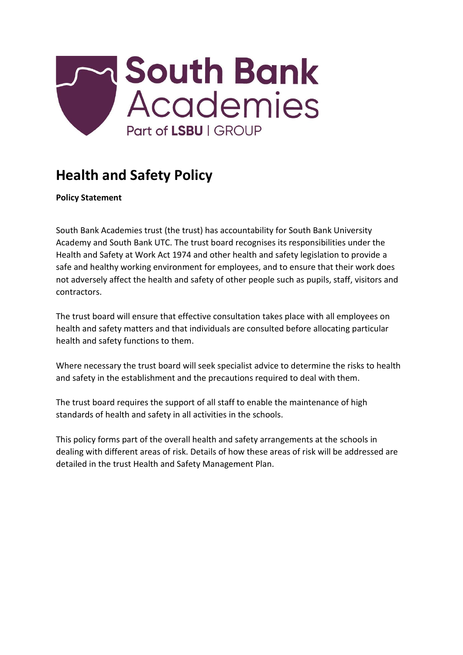

# **Health and Safety Policy**

**Policy Statement** 

South Bank Academies trust (the trust) has accountability for South Bank University Academy and South Bank UTC. The trust board recognises its responsibilities under the Health and Safety at Work Act 1974 and other health and safety legislation to provide a safe and healthy working environment for employees, and to ensure that their work does not adversely affect the health and safety of other people such as pupils, staff, visitors and contractors.

The trust board will ensure that effective consultation takes place with all employees on health and safety matters and that individuals are consulted before allocating particular health and safety functions to them.

Where necessary the trust board will seek specialist advice to determine the risks to health and safety in the establishment and the precautions required to deal with them.

The trust board requires the support of all staff to enable the maintenance of high standards of health and safety in all activities in the schools.

This policy forms part of the overall health and safety arrangements at the schools in dealing with different areas of risk. Details of how these areas of risk will be addressed are detailed in the trust Health and Safety Management Plan.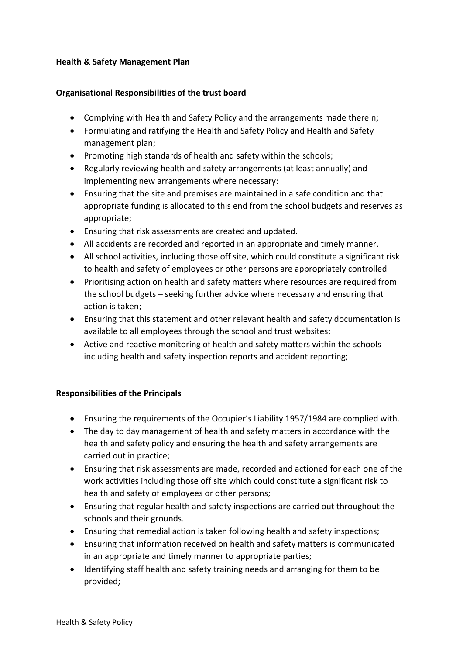#### **Health & Safety Management Plan**

#### **Organisational Responsibilities of the trust board**

- Complying with Health and Safety Policy and the arrangements made therein;
- Formulating and ratifying the Health and Safety Policy and Health and Safety management plan;
- Promoting high standards of health and safety within the schools;
- Regularly reviewing health and safety arrangements (at least annually) and implementing new arrangements where necessary:
- Ensuring that the site and premises are maintained in a safe condition and that appropriate funding is allocated to this end from the school budgets and reserves as appropriate;
- Ensuring that risk assessments are created and updated.
- All accidents are recorded and reported in an appropriate and timely manner.
- All school activities, including those off site, which could constitute a significant risk to health and safety of employees or other persons are appropriately controlled
- Prioritising action on health and safety matters where resources are required from the school budgets – seeking further advice where necessary and ensuring that action is taken;
- Ensuring that this statement and other relevant health and safety documentation is available to all employees through the school and trust websites;
- Active and reactive monitoring of health and safety matters within the schools including health and safety inspection reports and accident reporting;

# **Responsibilities of the Principals**

- Ensuring the requirements of the Occupier's Liability 1957/1984 are complied with.
- The day to day management of health and safety matters in accordance with the health and safety policy and ensuring the health and safety arrangements are carried out in practice;
- Ensuring that risk assessments are made, recorded and actioned for each one of the work activities including those off site which could constitute a significant risk to health and safety of employees or other persons;
- Ensuring that regular health and safety inspections are carried out throughout the schools and their grounds.
- Ensuring that remedial action is taken following health and safety inspections;
- Ensuring that information received on health and safety matters is communicated in an appropriate and timely manner to appropriate parties;
- Identifying staff health and safety training needs and arranging for them to be provided;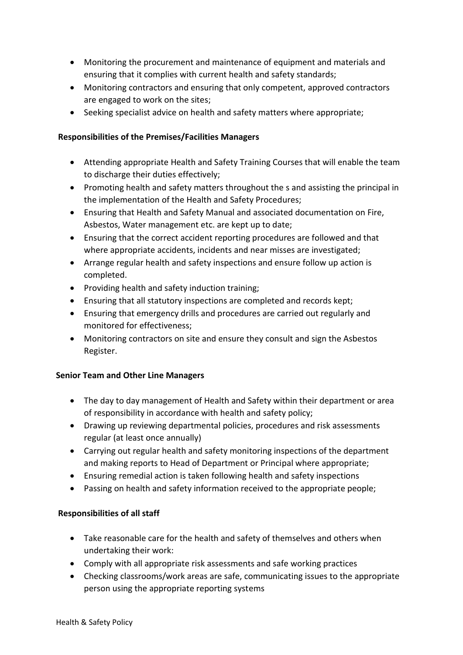- Monitoring the procurement and maintenance of equipment and materials and ensuring that it complies with current health and safety standards;
- Monitoring contractors and ensuring that only competent, approved contractors are engaged to work on the sites;
- Seeking specialist advice on health and safety matters where appropriate;

# **Responsibilities of the Premises/Facilities Managers**

- Attending appropriate Health and Safety Training Courses that will enable the team to discharge their duties effectively;
- Promoting health and safety matters throughout the s and assisting the principal in the implementation of the Health and Safety Procedures;
- Ensuring that Health and Safety Manual and associated documentation on Fire, Asbestos, Water management etc. are kept up to date;
- Ensuring that the correct accident reporting procedures are followed and that where appropriate accidents, incidents and near misses are investigated;
- Arrange regular health and safety inspections and ensure follow up action is completed.
- Providing health and safety induction training;
- Ensuring that all statutory inspections are completed and records kept;
- Ensuring that emergency drills and procedures are carried out regularly and monitored for effectiveness;
- Monitoring contractors on site and ensure they consult and sign the Asbestos Register.

# **Senior Team and Other Line Managers**

- The day to day management of Health and Safety within their department or area of responsibility in accordance with health and safety policy;
- Drawing up reviewing departmental policies, procedures and risk assessments regular (at least once annually)
- Carrying out regular health and safety monitoring inspections of the department and making reports to Head of Department or Principal where appropriate;
- Ensuring remedial action is taken following health and safety inspections
- Passing on health and safety information received to the appropriate people;

# **Responsibilities of all staff**

- Take reasonable care for the health and safety of themselves and others when undertaking their work:
- Comply with all appropriate risk assessments and safe working practices
- Checking classrooms/work areas are safe, communicating issues to the appropriate person using the appropriate reporting systems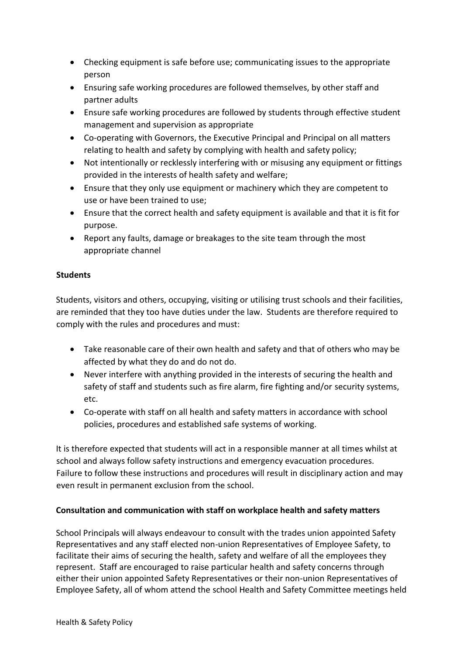- Checking equipment is safe before use; communicating issues to the appropriate person
- Ensuring safe working procedures are followed themselves, by other staff and partner adults
- Ensure safe working procedures are followed by students through effective student management and supervision as appropriate
- Co-operating with Governors, the Executive Principal and Principal on all matters relating to health and safety by complying with health and safety policy;
- Not intentionally or recklessly interfering with or misusing any equipment or fittings provided in the interests of health safety and welfare;
- Ensure that they only use equipment or machinery which they are competent to use or have been trained to use;
- Ensure that the correct health and safety equipment is available and that it is fit for purpose.
- Report any faults, damage or breakages to the site team through the most appropriate channel

# **Students**

Students, visitors and others, occupying, visiting or utilising trust schools and their facilities, are reminded that they too have duties under the law. Students are therefore required to comply with the rules and procedures and must:

- Take reasonable care of their own health and safety and that of others who may be affected by what they do and do not do.
- Never interfere with anything provided in the interests of securing the health and safety of staff and students such as fire alarm, fire fighting and/or security systems, etc.
- Co-operate with staff on all health and safety matters in accordance with school policies, procedures and established safe systems of working.

It is therefore expected that students will act in a responsible manner at all times whilst at school and always follow safety instructions and emergency evacuation procedures. Failure to follow these instructions and procedures will result in disciplinary action and may even result in permanent exclusion from the school.

# **Consultation and communication with staff on workplace health and safety matters**

School Principals will always endeavour to consult with the trades union appointed Safety Representatives and any staff elected non-union Representatives of Employee Safety, to facilitate their aims of securing the health, safety and welfare of all the employees they represent. Staff are encouraged to raise particular health and safety concerns through either their union appointed Safety Representatives or their non-union Representatives of Employee Safety, all of whom attend the school Health and Safety Committee meetings held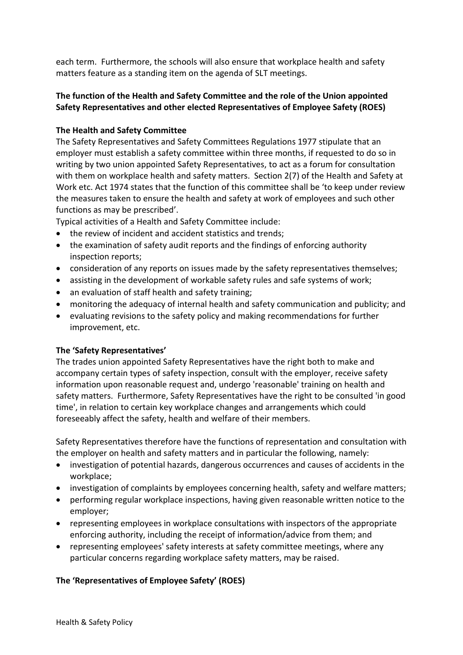each term. Furthermore, the schools will also ensure that workplace health and safety matters feature as a standing item on the agenda of SLT meetings.

# **The function of the Health and Safety Committee and the role of the Union appointed Safety Representatives and other elected Representatives of Employee Safety (ROES)**

# **The Health and Safety Committee**

The Safety Representatives and Safety Committees Regulations 1977 stipulate that an employer must establish a safety committee within three months, if requested to do so in writing by two union appointed Safety Representatives, to act as a forum for consultation with them on workplace health and safety matters. Section 2(7) of the Health and Safety at Work etc. Act 1974 states that the function of this committee shall be 'to keep under review the measures taken to ensure the health and safety at work of employees and such other functions as may be prescribed'.

Typical activities of a Health and Safety Committee include:

- the review of incident and accident statistics and trends;
- the examination of safety audit reports and the findings of enforcing authority inspection reports;
- consideration of any reports on issues made by the safety representatives themselves;
- assisting in the development of workable safety rules and safe systems of work;
- an evaluation of staff health and safety training;
- monitoring the adequacy of internal health and safety communication and publicity; and
- evaluating revisions to the safety policy and making recommendations for further improvement, etc.

#### **The 'Safety Representatives'**

The trades union appointed Safety Representatives have the right both to make and accompany certain types of safety inspection, consult with the employer, receive safety information upon reasonable request and, undergo 'reasonable' training on health and safety matters. Furthermore, Safety Representatives have the right to be consulted 'in good time', in relation to certain key workplace changes and arrangements which could foreseeably affect the safety, health and welfare of their members.

Safety Representatives therefore have the functions of representation and consultation with the employer on health and safety matters and in particular the following, namely:

- investigation of potential hazards, dangerous occurrences and causes of accidents in the workplace;
- investigation of complaints by employees concerning health, safety and welfare matters;
- performing regular workplace inspections, having given reasonable written notice to the employer;
- representing employees in workplace consultations with inspectors of the appropriate enforcing authority, including the receipt of information/advice from them; and
- representing employees' safety interests at safety committee meetings, where any particular concerns regarding workplace safety matters, may be raised.

# **The 'Representatives of Employee Safety' (ROES)**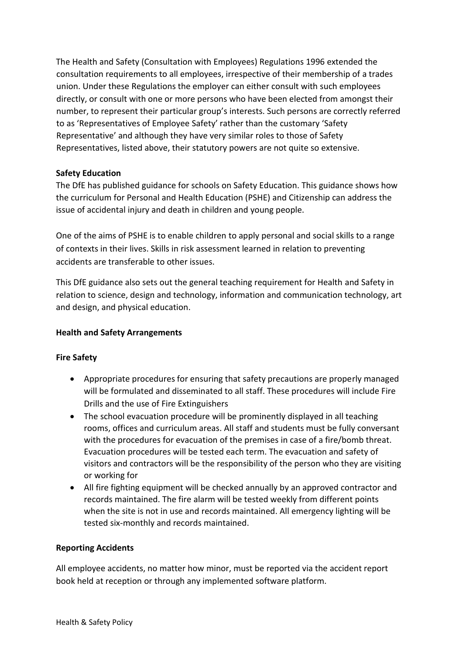The Health and Safety (Consultation with Employees) Regulations 1996 extended the consultation requirements to all employees, irrespective of their membership of a trades union. Under these Regulations the employer can either consult with such employees directly, or consult with one or more persons who have been elected from amongst their number, to represent their particular group's interests. Such persons are correctly referred to as 'Representatives of Employee Safety' rather than the customary 'Safety Representative' and although they have very similar roles to those of Safety Representatives, listed above, their statutory powers are not quite so extensive.

# **Safety Education**

The DfE has published guidance for schools on Safety Education. This guidance shows how the curriculum for Personal and Health Education (PSHE) and Citizenship can address the issue of accidental injury and death in children and young people.

One of the aims of PSHE is to enable children to apply personal and social skills to a range of contexts in their lives. Skills in risk assessment learned in relation to preventing accidents are transferable to other issues.

This DfE guidance also sets out the general teaching requirement for Health and Safety in relation to science, design and technology, information and communication technology, art and design, and physical education.

# **Health and Safety Arrangements**

# **Fire Safety**

- Appropriate procedures for ensuring that safety precautions are properly managed will be formulated and disseminated to all staff. These procedures will include Fire Drills and the use of Fire Extinguishers
- The school evacuation procedure will be prominently displayed in all teaching rooms, offices and curriculum areas. All staff and students must be fully conversant with the procedures for evacuation of the premises in case of a fire/bomb threat. Evacuation procedures will be tested each term. The evacuation and safety of visitors and contractors will be the responsibility of the person who they are visiting or working for
- All fire fighting equipment will be checked annually by an approved contractor and records maintained. The fire alarm will be tested weekly from different points when the site is not in use and records maintained. All emergency lighting will be tested six-monthly and records maintained.

#### **Reporting Accidents**

All employee accidents, no matter how minor, must be reported via the accident report book held at reception or through any implemented software platform.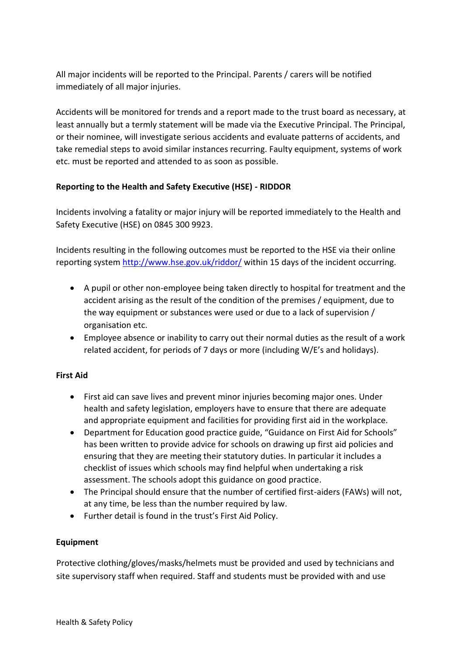All major incidents will be reported to the Principal. Parents / carers will be notified immediately of all major injuries.

Accidents will be monitored for trends and a report made to the trust board as necessary, at least annually but a termly statement will be made via the Executive Principal. The Principal, or their nominee, will investigate serious accidents and evaluate patterns of accidents, and take remedial steps to avoid similar instances recurring. Faulty equipment, systems of work etc. must be reported and attended to as soon as possible.

# **Reporting to the Health and Safety Executive (HSE) - RIDDOR**

Incidents involving a fatality or major injury will be reported immediately to the Health and Safety Executive (HSE) on 0845 300 9923.

Incidents resulting in the following outcomes must be reported to the HSE via their online reporting system<http://www.hse.gov.uk/riddor/> within 15 days of the incident occurring.

- A pupil or other non-employee being taken directly to hospital for treatment and the accident arising as the result of the condition of the premises / equipment, due to the way equipment or substances were used or due to a lack of supervision / organisation etc.
- Employee absence or inability to carry out their normal duties as the result of a work related accident, for periods of 7 days or more (including W/E's and holidays).

# **First Aid**

- First aid can save lives and prevent minor injuries becoming major ones. Under health and safety legislation, employers have to ensure that there are adequate and appropriate equipment and facilities for providing first aid in the workplace.
- Department for Education good practice guide, "Guidance on First Aid for Schools" has been written to provide advice for schools on drawing up first aid policies and ensuring that they are meeting their statutory duties. In particular it includes a checklist of issues which schools may find helpful when undertaking a risk assessment. The schools adopt this guidance on good practice.
- The Principal should ensure that the number of certified first-aiders (FAWs) will not, at any time, be less than the number required by law.
- Further detail is found in the trust's First Aid Policy.

# **Equipment**

Protective clothing/gloves/masks/helmets must be provided and used by technicians and site supervisory staff when required. Staff and students must be provided with and use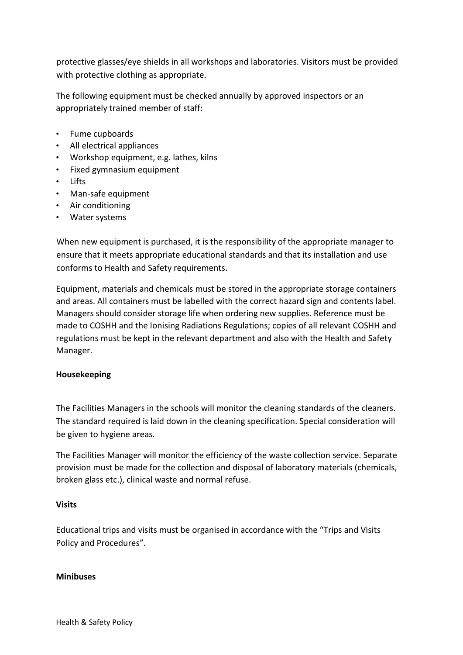protective glasses/eye shields in all workshops and laboratories. Visitors must be provided with protective clothing as appropriate.

The following equipment must be checked annually by approved inspectors or an appropriately trained member of staff:

- Fume cupboards
- All electrical appliances
- Workshop equipment, e.g. lathes, kilns
- Fixed gymnasium equipment
- Lifts
- Man-safe equipment
- Air conditioning
- Water systems

When new equipment is purchased, it is the responsibility of the appropriate manager to ensure that it meets appropriate educational standards and that its installation and use conforms to Health and Safety requirements.

Equipment, materials and chemicals must be stored in the appropriate storage containers and areas. All containers must be labelled with the correct hazard sign and contents label. Managers should consider storage life when ordering new supplies. Reference must be made to COSHH and the Ionising Radiations Regulations; copies of all relevant COSHH and regulations must be kept in the relevant department and also with the Health and Safety Manager.

# **Housekeeping**

The Facilities Managers in the schools will monitor the cleaning standards of the cleaners. The standard required is laid down in the cleaning specification. Special consideration will be given to hygiene areas.

The Facilities Manager will monitor the efficiency of the waste collection service. Separate provision must be made for the collection and disposal of laboratory materials (chemicals, broken glass etc.), clinical waste and normal refuse.

#### **Visits**

Educational trips and visits must be organised in accordance with the "Trips and Visits Policy and Procedures".

#### **Minibuses**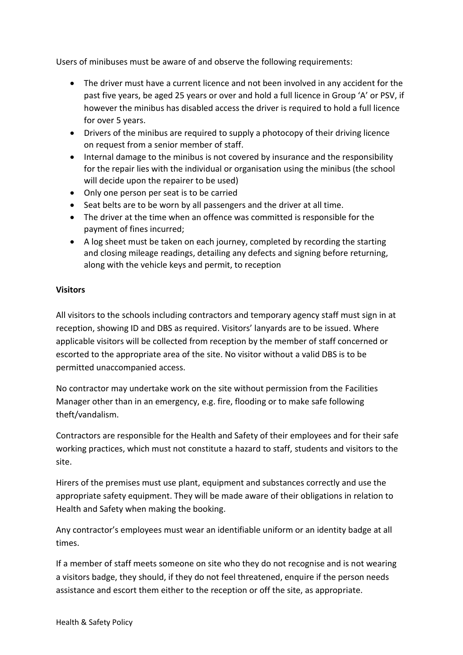Users of minibuses must be aware of and observe the following requirements:

- The driver must have a current licence and not been involved in any accident for the past five years, be aged 25 years or over and hold a full licence in Group 'A' or PSV, if however the minibus has disabled access the driver is required to hold a full licence for over 5 years.
- Drivers of the minibus are required to supply a photocopy of their driving licence on request from a senior member of staff.
- Internal damage to the minibus is not covered by insurance and the responsibility for the repair lies with the individual or organisation using the minibus (the school will decide upon the repairer to be used)
- Only one person per seat is to be carried
- Seat belts are to be worn by all passengers and the driver at all time.
- The driver at the time when an offence was committed is responsible for the payment of fines incurred;
- A log sheet must be taken on each journey, completed by recording the starting and closing mileage readings, detailing any defects and signing before returning, along with the vehicle keys and permit, to reception

#### **Visitors**

All visitors to the schools including contractors and temporary agency staff must sign in at reception, showing ID and DBS as required. Visitors' lanyards are to be issued. Where applicable visitors will be collected from reception by the member of staff concerned or escorted to the appropriate area of the site. No visitor without a valid DBS is to be permitted unaccompanied access.

No contractor may undertake work on the site without permission from the Facilities Manager other than in an emergency, e.g. fire, flooding or to make safe following theft/vandalism.

Contractors are responsible for the Health and Safety of their employees and for their safe working practices, which must not constitute a hazard to staff, students and visitors to the site.

Hirers of the premises must use plant, equipment and substances correctly and use the appropriate safety equipment. They will be made aware of their obligations in relation to Health and Safety when making the booking.

Any contractor's employees must wear an identifiable uniform or an identity badge at all times.

If a member of staff meets someone on site who they do not recognise and is not wearing a visitors badge, they should, if they do not feel threatened, enquire if the person needs assistance and escort them either to the reception or off the site, as appropriate.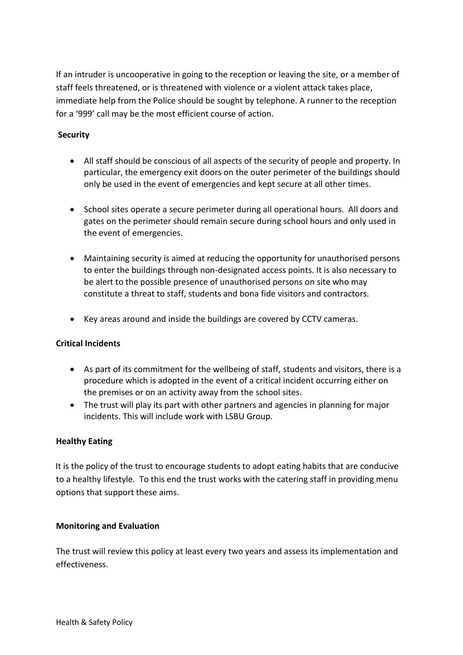If an intruder is uncooperative in going to the reception or leaving the site, or a member of staff feels threatened, or is threatened with violence or a violent attack takes place, immediate help from the Police should be sought by telephone. A runner to the reception for a '999' call may be the most efficient course of action.

# **Security**

- All staff should be conscious of all aspects of the security of people and property. In particular, the emergency exit doors on the outer perimeter of the buildings should only be used in the event of emergencies and kept secure at all other times.
- School sites operate a secure perimeter during all operational hours. All doors and gates on the perimeter should remain secure during school hours and only used in the event of emergencies.
- Maintaining security is aimed at reducing the opportunity for unauthorised persons to enter the buildings through non-designated access points. It is also necessary to be alert to the possible presence of unauthorised persons on site who may constitute a threat to staff, students and bona fide visitors and contractors.
- Key areas around and inside the buildings are covered by CCTV cameras.

# **Critical Incidents**

- As part of its commitment for the wellbeing of staff, students and visitors, there is a procedure which is adopted in the event of a critical incident occurring either on the premises or on an activity away from the school sites.
- The trust will play its part with other partners and agencies in planning for major incidents. This will include work with LSBU Group.

# **Healthy Eating**

It is the policy of the trust to encourage students to adopt eating habits that are conducive to a healthy lifestyle. To this end the trust works with the catering staff in providing menu options that support these aims.

# **Monitoring and Evaluation**

The trust will review this policy at least every two years and assess its implementation and effectiveness.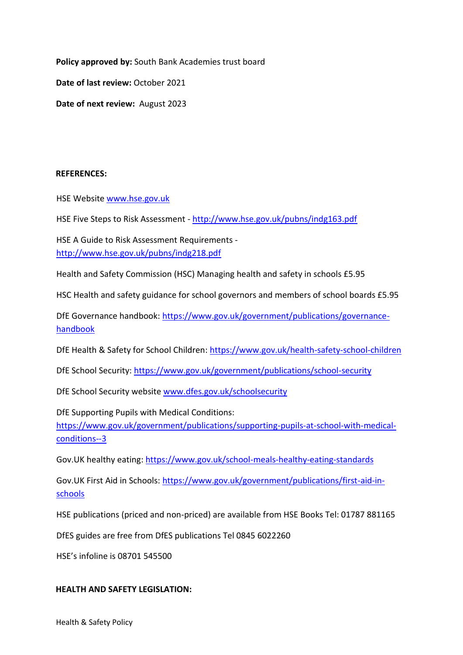**Policy approved by:** South Bank Academies trust board

**Date of last review:** October 2021

**Date of next review:** August 2023

#### **REFERENCES:**

HSE Website [www.hse.gov.uk](http://www.hse.gov.uk/)

HSE Five Steps to Risk Assessment - <http://www.hse.gov.uk/pubns/indg163.pdf>

HSE A Guide to Risk Assessment Requirements <http://www.hse.gov.uk/pubns/indg218.pdf>

Health and Safety Commission (HSC) Managing health and safety in schools £5.95

HSC Health and safety guidance for school governors and members of school boards £5.95

DfE Governance handbook: [https://www.gov.uk/government/publications/governance](https://www.gov.uk/government/publications/governance-handbook)[handbook](https://www.gov.uk/government/publications/governance-handbook)

DfE Health & Safety for School Children:<https://www.gov.uk/health-safety-school-children>

DfE School Security:<https://www.gov.uk/government/publications/school-security>

DfE School Security website [www.dfes.gov.uk/schoolsecurity](http://www.dfes.gov.uk/schoolsecurity)

DfE Supporting Pupils with Medical Conditions: [https://www.gov.uk/government/publications/supporting-pupils-at-school-with-medical](https://www.gov.uk/government/publications/supporting-pupils-at-school-with-medical-conditions--3)[conditions--3](https://www.gov.uk/government/publications/supporting-pupils-at-school-with-medical-conditions--3)

Gov.UK healthy eating:<https://www.gov.uk/school-meals-healthy-eating-standards>

Gov.UK First Aid in Schools: [https://www.gov.uk/government/publications/first-aid-in](https://www.gov.uk/government/publications/first-aid-in-schools)[schools](https://www.gov.uk/government/publications/first-aid-in-schools)

HSE publications (priced and non-priced) are available from HSE Books Tel: 01787 881165

DfES guides are free from DfES publications Tel 0845 6022260

HSE's infoline is 08701 545500

#### **HEALTH AND SAFETY LEGISLATION:**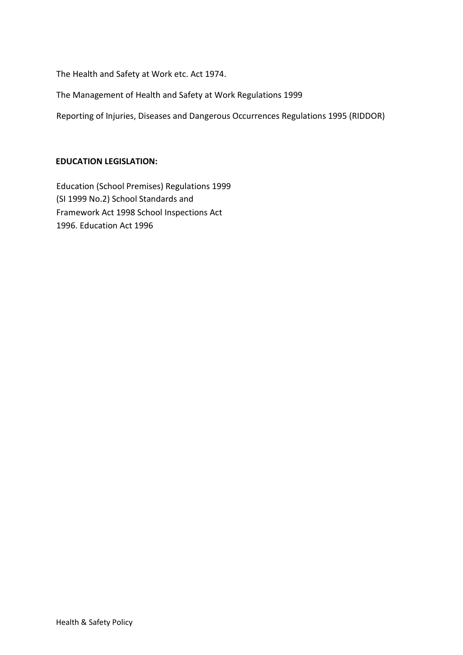The Health and Safety at Work etc. Act 1974.

The Management of Health and Safety at Work Regulations 1999

Reporting of Injuries, Diseases and Dangerous Occurrences Regulations 1995 (RIDDOR)

#### **EDUCATION LEGISLATION:**

Education (School Premises) Regulations 1999 (SI 1999 No.2) School Standards and Framework Act 1998 School Inspections Act 1996. Education Act 1996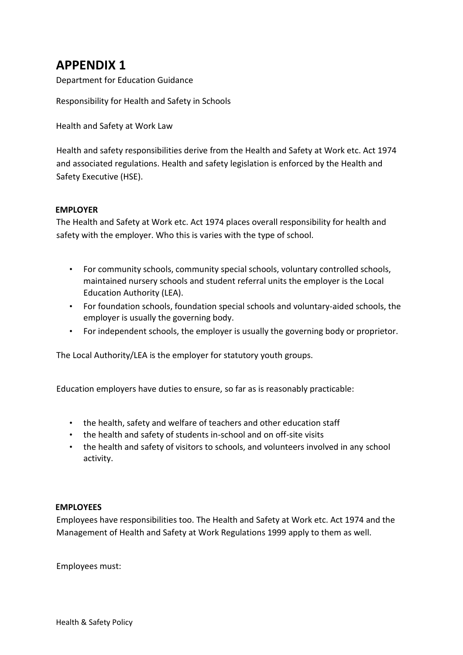# **APPENDIX 1**

Department for Education Guidance

Responsibility for Health and Safety in Schools

Health and Safety at Work Law

Health and safety responsibilities derive from the Health and Safety at Work etc. Act 1974 and associated regulations. Health and safety legislation is enforced by the Health and Safety Executive (HSE).

#### **EMPLOYER**

The Health and Safety at Work etc. Act 1974 places overall responsibility for health and safety with the employer. Who this is varies with the type of school.

- For community schools, community special schools, voluntary controlled schools, maintained nursery schools and student referral units the employer is the Local Education Authority (LEA).
- For foundation schools, foundation special schools and voluntary-aided schools, the employer is usually the governing body.
- For independent schools, the employer is usually the governing body or proprietor.

The Local Authority/LEA is the employer for statutory youth groups.

Education employers have duties to ensure, so far as is reasonably practicable:

- the health, safety and welfare of teachers and other education staff
- the health and safety of students in-school and on off-site visits
- the health and safety of visitors to schools, and volunteers involved in any school activity.

#### **EMPLOYEES**

Employees have responsibilities too. The Health and Safety at Work etc. Act 1974 and the Management of Health and Safety at Work Regulations 1999 apply to them as well.

Employees must: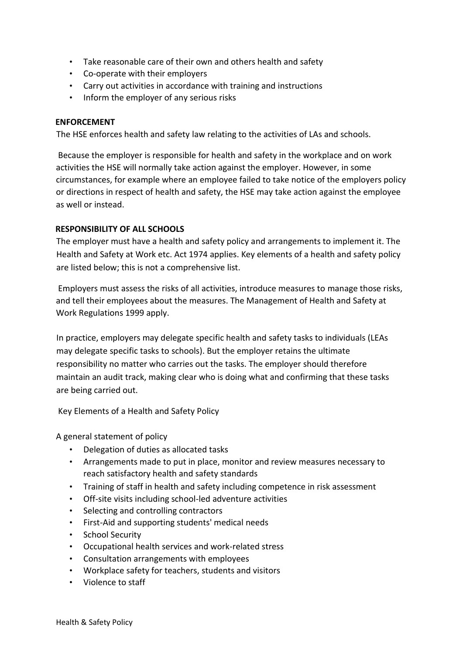- Take reasonable care of their own and others health and safety
- Co-operate with their employers
- Carry out activities in accordance with training and instructions
- Inform the employer of any serious risks

#### **ENFORCEMENT**

The HSE enforces health and safety law relating to the activities of LAs and schools.

Because the employer is responsible for health and safety in the workplace and on work activities the HSE will normally take action against the employer. However, in some circumstances, for example where an employee failed to take notice of the employers policy or directions in respect of health and safety, the HSE may take action against the employee as well or instead.

#### **RESPONSIBILITY OF ALL SCHOOLS**

The employer must have a health and safety policy and arrangements to implement it. The Health and Safety at Work etc. Act 1974 applies. Key elements of a health and safety policy are listed below; this is not a comprehensive list.

Employers must assess the risks of all activities, introduce measures to manage those risks, and tell their employees about the measures. The Management of Health and Safety at Work Regulations 1999 apply.

In practice, employers may delegate specific health and safety tasks to individuals (LEAs may delegate specific tasks to schools). But the employer retains the ultimate responsibility no matter who carries out the tasks. The employer should therefore maintain an audit track, making clear who is doing what and confirming that these tasks are being carried out.

Key Elements of a Health and Safety Policy

A general statement of policy

- Delegation of duties as allocated tasks
- Arrangements made to put in place, monitor and review measures necessary to reach satisfactory health and safety standards
- Training of staff in health and safety including competence in risk assessment
- Off-site visits including school-led adventure activities
- Selecting and controlling contractors
- First-Aid and supporting students' medical needs
- School Security
- Occupational health services and work-related stress
- Consultation arrangements with employees
- Workplace safety for teachers, students and visitors
- Violence to staff